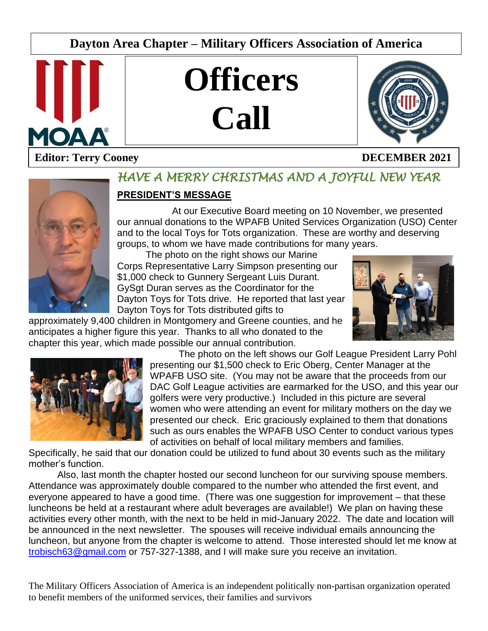# **Dayton Area Chapter – Military Officers Association of America**







# **Editor: Terry Cooney DECEMBER 2021**



# *HAVE A MERRY CHRISTMAS AND A JOYFUL NEW YEAR*

# **PRESIDENT'S MESSAGE**

At our Executive Board meeting on 10 November, we presented our annual donations to the WPAFB United Services Organization (USO) Center and to the local Toys for Tots organization. These are worthy and deserving groups, to whom we have made contributions for many years.

L

The photo on the right shows our Marine Corps Representative Larry Simpson presenting our \$1,000 check to Gunnery Sergeant Luis Durant. GySgt Duran serves as the Coordinator for the Dayton Toys for Tots drive. He reported that last year Dayton Toys for Tots distributed gifts to

approximately 9,400 children in Montgomery and Greene counties, and he anticipates a higher figure this year. Thanks to all who donated to the chapter this year, which made possible our annual contribution.





The photo on the left shows our Golf League President Larry Pohl presenting our \$1,500 check to Eric Oberg, Center Manager at the WPAFB USO site. (You may not be aware that the proceeds from our DAC Golf League activities are earmarked for the USO, and this year our golfers were very productive.) Included in this picture are several women who were attending an event for military mothers on the day we presented our check. Eric graciously explained to them that donations such as ours enables the WPAFB USO Center to conduct various types of activities on behalf of local military members and families.

Specifically, he said that our donation could be utilized to fund about 30 events such as the military mother's function.

Also, last month the chapter hosted our second luncheon for our surviving spouse members. Attendance was approximately double compared to the number who attended the first event, and everyone appeared to have a good time. (There was one suggestion for improvement – that these luncheons be held at a restaurant where adult beverages are available!) We plan on having these activities every other month, with the next to be held in mid-January 2022. The date and location will be announced in the next newsletter. The spouses will receive individual emails announcing the luncheon, but anyone from the chapter is welcome to attend. Those interested should let me know at [trobisch63@gmail.com](mailto:trobisch63@gmail.com) or 757-327-1388, and I will make sure you receive an invitation.

The Military Officers Association of America is an independent politically non-partisan organization operated to benefit members of the uniformed services, their families and survivors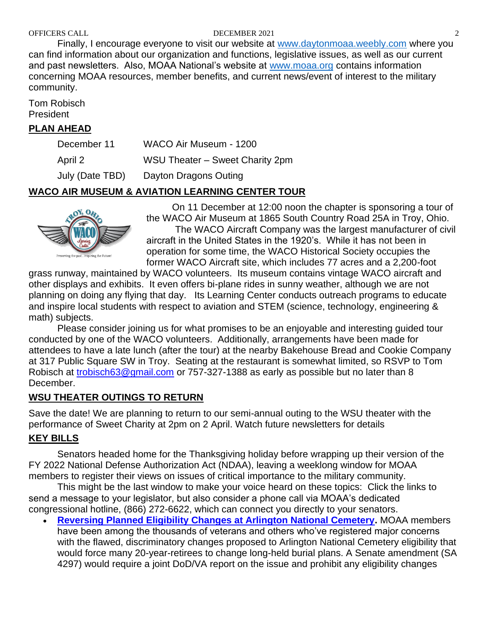#### OFFICERS CALL DECEMBER 2021 2

Finally, I encourage everyone to visit our website at [www.daytonmoaa.weebly.com](http://www.daytonmoaa.weebly.com/) where you can find information about our organization and functions, legislative issues, as well as our current and past newsletters. Also, MOAA National's website at [www.moaa.org](http://www.moaa.org/) contains information concerning MOAA resources, member benefits, and current news/event of interest to the military community.

Tom Robisch President

#### **PLAN AHEAD**

| December 11     | WACO Air Museum - 1200          |
|-----------------|---------------------------------|
| April 2         | WSU Theater - Sweet Charity 2pm |
| July (Date TBD) | Dayton Dragons Outing           |

#### **WACO AIR MUSEUM & AVIATION LEARNING CENTER TOUR**



On 11 December at 12:00 noon the chapter is sponsoring a tour of the WACO Air Museum at 1865 South Country Road 25A in Troy, Ohio. The WACO Aircraft Company was the largest manufacturer of civil aircraft in the United States in the 1920's. While it has not been in operation for some time, the WACO Historical Society occupies the former WACO Aircraft site, which includes 77 acres and a 2,200-foot

grass runway, maintained by WACO volunteers. Its museum contains vintage WACO aircraft and other displays and exhibits. It even offers bi-plane rides in sunny weather, although we are not planning on doing any flying that day. Its Learning Center conducts outreach programs to educate and inspire local students with respect to aviation and STEM (science, technology, engineering & math) subjects.

Please consider joining us for what promises to be an enjoyable and interesting guided tour conducted by one of the WACO volunteers. Additionally, arrangements have been made for attendees to have a late lunch (after the tour) at the nearby Bakehouse Bread and Cookie Company at 317 Public Square SW in Troy. Seating at the restaurant is somewhat limited, so RSVP to Tom Robisch at [trobisch63@gmail.com](mailto:trobisch63@gmail.com) or 757-327-1388 as early as possible but no later than 8 December.

#### **WSU THEATER OUTINGS TO RETURN**

Save the date! We are planning to return to our semi-annual outing to the WSU theater with the performance of Sweet Charity at 2pm on 2 April. Watch future newsletters for details

# **KEY BILLS**

Senators headed home for the Thanksgiving holiday before wrapping up their version of the FY 2022 National Defense Authorization Act (NDAA), leaving a weeklong window for MOAA members to register their views on issues of critical importance to the military community.

This might be the last window to make your voice heard on these topics: Click the links to send a message to your legislator, but also consider a phone call via MOAA's dedicated congressional hotline, (866) 272-6622, which can connect you directly to your senators.

• **[Reversing Planned Eligibility Changes at Arlington National Cemetery.](https://takeaction.moaa.org/moaa/app/write-a-letter?0&engagementId=511221)** MOAA members have been among the thousands of veterans and others who've registered major concerns with the flawed, discriminatory changes proposed to Arlington National Cemetery eligibility that would force many 20-year-retirees to change long-held burial plans. A Senate amendment (SA 4297) would require a joint DoD/VA report on the issue and prohibit any eligibility changes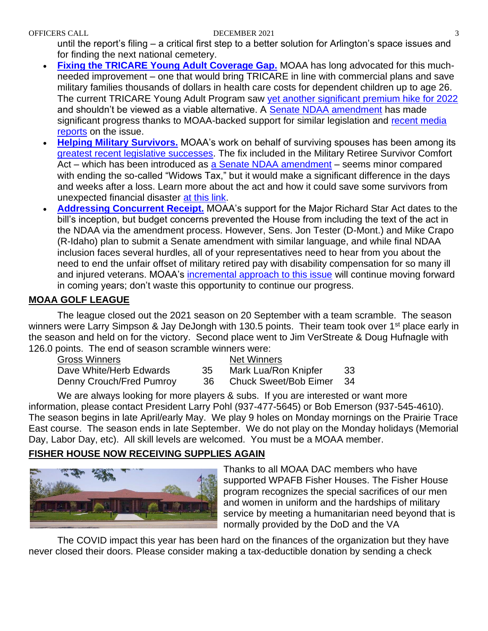#### OFFICERS CALL DECEMBER 2021 3

until the report's filing – a critical first step to a better solution for Arlington's space issues and for finding the next national cemetery.

- **[Fixing the TRICARE Young Adult Coverage Gap.](https://takeaction.moaa.org/moaa/app/write-a-letter?1&engagementId=511394)** MOAA has long advocated for this muchneeded improvement – one that would bring TRICARE in line with commercial plans and save military families thousands of dollars in health care costs for dependent children up to age 26. The current TRICARE Young Adult Program saw [yet another significant premium hike for 2022](https://www.moaa.org/content/publications-and-media/news-articles/2021-news-articles/tricare-costs-announced-what-you-need-to-know-for-2022/) and shouldn't be viewed as a viable alternative. A [Senate NDAA amendment](https://www.moaa.org/content/publications-and-media/news-articles/2021-news-articles/advocacy/ndaa-may-include-tricare-young-adult-coverage-fix/) has made significant progress thanks to MOAA-backed support for similar legislation and [recent media](https://www.moaa.org/content/publications-and-media/news-articles/2021-news-articles/advocacy/ndaa-may-include-tricare-young-adult-coverage-fix/)  [reports](https://www.moaa.org/content/publications-and-media/news-articles/2021-news-articles/advocacy/ndaa-may-include-tricare-young-adult-coverage-fix/) on the issue.
- **[Helping Military Survivors.](https://takeaction.moaa.org/moaa/app/write-a-letter?3&engagementId=511506)** MOAA's work on behalf of surviving spouses has been among its [greatest recent legislative successes.](https://www.moaa.org/content/publications-and-media/news-articles/2020-news-articles/ending-the-widows-tax-moaa-president-reflects-on-making-repeal-a-reality/) The fix included in the Military Retiree Survivor Comfort Act – which has been introduced as [a Senate NDAA amendment](https://www.moaa.org/content/publications-and-media/news-articles/2021-news-articles/advocacy/senate-ndaa-amendment-seeks-to-ease-financial-challenges-for-new-survivors/) – seems minor compared with ending the so-called "Widows Tax," but it would make a significant difference in the days and weeks after a loss. Learn more about the act and how it could save some survivors from unexpected financial disaster [at this link.](https://www.moaa.org/content/publications-and-media/news-articles/2021-news-articles/advocacy/join-moaa-and-support-the-military-retiree-survivor-comfort-act/)
- **[Addressing Concurrent Receipt.](https://takeaction.moaa.org/app/write-a-letter?2&engagementId=510849)** MOAA's support for the Major Richard Star Act dates to the bill's inception, but budget concerns prevented the House from including the text of the act in the NDAA via the amendment process. However, Sens. Jon Tester (D-Mont.) and Mike Crapo (R-Idaho) plan to submit a Senate amendment with similar language, and while final NDAA inclusion faces several hurdles, all of your representatives need to hear from you about the need to end the unfair offset of military retired pay with disability compensation for so many ill and injured veterans. MOAA's [incremental approach to this issue](https://www.moaa.org/content/publications-and-media/news-articles/2020-news-articles/advocacy/moaa-answers-your-questions-about-concurrent-receipt/) will continue moving forward in coming years; don't waste this opportunity to continue our progress.

# **MOAA GOLF LEAGUE**

The league closed out the 2021 season on 20 September with a team scramble. The season winners were Larry Simpson & Jay DeJongh with 130.5 points. Their team took over 1<sup>st</sup> place early in the season and held on for the victory. Second place went to Jim VerStreate & Doug Hufnagle with 126.0 points. The end of season scramble winners were:

| Gross Winners            |     | Net Winners                  |     |
|--------------------------|-----|------------------------------|-----|
| Dave White/Herb Edwards  | 35  | Mark Lua/Ron Knipfer         | -33 |
| Denny Crouch/Fred Pumroy | -36 | <b>Chuck Sweet/Bob Eimer</b> | -34 |

We are always looking for more players & subs. If you are interested or want more information, please contact President Larry Pohl (937-477-5645) or Bob Emerson (937-545-4610). The season begins in late April/early May. We play 9 holes on Monday mornings on the Prairie Trace East course. The season ends in late September. We do not play on the Monday holidays (Memorial Day, Labor Day, etc). All skill levels are welcomed. You must be a MOAA member.

# **FISHER HOUSE NOW RECEIVING SUPPLIES AGAIN**



Thanks to all MOAA DAC members who have supported WPAFB Fisher Houses. The Fisher House program recognizes the special sacrifices of our men and women in uniform and the hardships of military service by meeting a humanitarian need beyond that is normally provided by the DoD and the VA

The COVID impact this year has been hard on the finances of the organization but they have never closed their doors. Please consider making a tax-deductible donation by sending a check